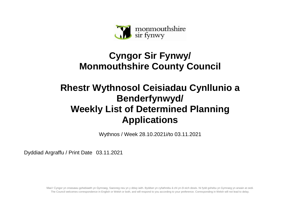

## **Cyngor Sir Fynwy/ Monmouthshire County Council**

## **Rhestr Wythnosol Ceisiadau Cynllunio a Benderfynwyd/ Weekly List of Determined Planning Applications**

Wythnos / Week 28.10.2021i/to 03.11.2021

Dyddiad Argraffu / Print Date 03.11.2021

Mae'r Cyngor yn croesawu gohebiaeth yn Gymraeg, Saesneg neu yn y ddwy iaith. Byddwn yn cyfathrebu â chi yn ôl eich dewis. Ni fydd gohebu yn Gymraeg yn arwain at oedi. The Council welcomes correspondence in English or Welsh or both, and will respond to you according to your preference. Corresponding in Welsh will not lead to delay.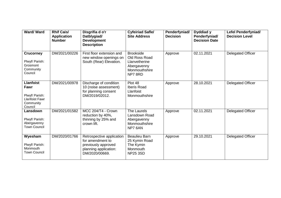| <b>Ward/Ward</b>                                                                            | <b>Rhif Cais/</b><br><b>Application</b><br><b>Number</b> | Disgrifia d o'r<br>Datblygiad/<br><b>Development</b><br><b>Description</b>                                      | <b>Cyfeiriad Safle/</b><br><b>Site Address</b>                                               | Penderfyniad/<br><b>Decision</b> | Dyddiad y<br>Penderfyniad/<br><b>Decision Date</b> | Lefel Penderfyniad/<br><b>Decision Level</b> |
|---------------------------------------------------------------------------------------------|----------------------------------------------------------|-----------------------------------------------------------------------------------------------------------------|----------------------------------------------------------------------------------------------|----------------------------------|----------------------------------------------------|----------------------------------------------|
| <b>Crucorney</b><br>Plwyf/ Parish:<br>Grosmont<br>Community<br>Council                      | DM/2021/00226                                            | First floor extension and<br>new window openings on<br>South (Rear) Elevation.                                  | <b>Brookside</b><br>Old Ross Road<br>Llanvetherine<br>Abergavenny<br>Monmouthshire<br>NP78RD | Approve                          | 02.11.2021                                         | <b>Delegated Officer</b>                     |
| <b>Llanfoist</b><br>Fawr<br>Plwyf/ Parish:<br><b>Llanfoist Fawr</b><br>Community<br>Council | DM/2021/00978                                            | Discharge of condition<br>10 (noise assessment)<br>for planning consent<br>DM/2019/02012.                       | Plot 48<br><b>Iberis Road</b><br>Llanfoist<br>Monmouthshire                                  | Approve                          | 28.10.2021                                         | <b>Delegated Officer</b>                     |
| Lansdown<br>Plwyf/ Parish:<br>Abergavenny<br><b>Town Council</b>                            | DM/2021/01582                                            | MCC 204/T4 - Crown<br>reduction by 40%,<br>thinning by 25% and<br>crown lift.                                   | <b>The Laurels</b><br>Lansdown Road<br>Abergavenny<br>Monmouthshire<br>NP7 6AN               | Approve                          | 02.11.2021                                         | Delegated Officer                            |
| Wyesham<br>Plwyf/ Parish:<br>Monmouth<br><b>Town Council</b>                                | DM/2020/01766                                            | Retrospective application<br>for amendment to<br>previously approved<br>planning application:<br>DM/2020/00669. | <b>Beaulieu Barn</b><br>25 Kymin Road<br>The Kymin<br>Monmouth<br><b>NP25 3SD</b>            | Approve                          | 29.10.2021                                         | <b>Delegated Officer</b>                     |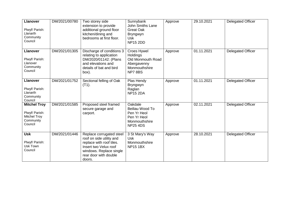| <b>Llanover</b><br>Plwyf/ Parish:<br>Llanarth<br>Community<br>Council                | DM/2021/00780 | Two storey side<br>extension to provide<br>additional ground floor<br>kitchen/dining and<br>bedrooms at first floor.                                                    | Sunnybank<br>John Smiths Lane<br><b>Great Oak</b><br><b>Bryngwyn</b><br><b>Usk</b><br><b>NP15 2DD</b> | Approve | 29.10.2021 | <b>Delegated Officer</b> |
|--------------------------------------------------------------------------------------|---------------|-------------------------------------------------------------------------------------------------------------------------------------------------------------------------|-------------------------------------------------------------------------------------------------------|---------|------------|--------------------------|
| <b>Llanover</b><br>Plwyf/ Parish:<br>Llanover<br>Community<br>Council                | DM/2021/01305 | Discharge of conditions 3<br>relating to application<br>DM/2020/01142: (Plans<br>and elevations and<br>details of bat and bird<br>box).                                 | Croes Hywel<br><b>Holdings</b><br>Old Monmouth Road<br>Abergavenny<br>Monmouthshire<br>NP78BS         | Approve | 01.11.2021 | <b>Delegated Officer</b> |
| <b>Llanover</b><br>Plwyf/ Parish:<br>Llanarth<br>Community<br>Council                | DM/2021/01752 | Sectional felling of Oak<br>$(T1)$ .                                                                                                                                    | Plas Hendy<br><b>Bryngwyn</b><br>Raglan<br><b>NP15 2DA</b>                                            | Approve | 01.11.2021 | Delegated Officer        |
| <b>Mitchel Troy</b><br>Plwyf/ Parish:<br><b>Mitchel Troy</b><br>Community<br>Council | DM/2021/01585 | Proposed steel framed<br>secure garage and<br>carport.                                                                                                                  | Oakdale<br>Beiliau Wood To<br>Pen Yr Heol<br>Pen Yr Heol<br>Monmouthshire<br><b>NP25 4DS</b>          | Approve | 02.11.2021 | <b>Delegated Officer</b> |
| <b>Usk</b><br>Plwyf/ Parish:<br>Usk Town<br>Council                                  | DM/2021/01446 | Replace corrugated steel<br>roof on side utility and<br>replace with roof tiles.<br>Insert two Velux roof<br>windows. Replace single<br>rear door with double<br>doors. | 3 St Mary's Way<br><b>Usk</b><br>Monmouthshire<br><b>NP15 1BX</b>                                     | Approve | 28.10.2021 | <b>Delegated Officer</b> |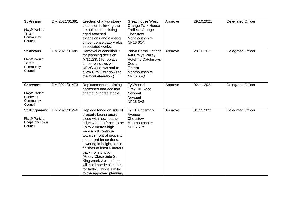| <b>St Arvans</b><br>Plwyf/ Parish:<br>Tintern<br>Community<br>Council | DM/2021/01381 | Erection of a two storey<br>extension following the<br>demolition of existing<br>aged attached<br>extensions and existing<br>timber conservatory plus<br>associated works.                                                                                                                                                                                                                                                                | <b>Great House West</b><br><b>Grange Park House</b><br><b>Trellech Grange</b><br>Chepstow<br>Monmouthshire<br><b>NP16 6QN</b> | Approve | 29.10.2021 | <b>Delegated Officer</b> |
|-----------------------------------------------------------------------|---------------|-------------------------------------------------------------------------------------------------------------------------------------------------------------------------------------------------------------------------------------------------------------------------------------------------------------------------------------------------------------------------------------------------------------------------------------------|-------------------------------------------------------------------------------------------------------------------------------|---------|------------|--------------------------|
| <b>St Arvans</b><br>Plwyf/ Parish:<br>Tintern<br>Community<br>Council | DM/2021/01485 | Removal of condition 3<br>for planning decision<br>M/11238. (To replace<br>timber windows with<br>UPVC windows and to<br>allow UPVC windows to<br>the front elevation.)                                                                                                                                                                                                                                                                   | Parva Barns Cottage<br>A466 Wye Valley<br><b>Hotel To Catchmays</b><br>Court<br>Tintern<br>Monmouthshire<br><b>NP166SQ</b>    | Approve | 28.10.2021 | Delegated Officer        |
| <b>Caerwent</b><br>Plwyf/ Parish:<br>Caerwent<br>Community<br>Council | DM/2021/01473 | Replacement of existing<br>barn/shed and addition<br>of small 2 horse stable.                                                                                                                                                                                                                                                                                                                                                             | Ty Wennol<br><b>Grey Hill Road</b><br>Newport<br>Newport<br><b>NP26 3AZ</b>                                                   | Approve | 02.11.2021 | <b>Delegated Officer</b> |
| <b>St Kingsmark</b><br>Plwyf/ Parish:<br>Chepstow Town<br>Council     | DM/2021/01246 | Replace fence on side of<br>property facing priory<br>close with new feather<br>edge wooden fence to be<br>up to 2 metres high.<br>Fence will continue<br>towards front of property<br>as current fence does.<br>lowering in height, fence<br>finishes at least 6 meters<br>back from junction<br>(Priory Close onto St<br>Kingsmark Avenue) so<br>will not impede site lines<br>for traffic. This is similar<br>to the approved planning | 17 St Kingsmark<br>Avenue<br>Chepstow<br>Monmouthshire<br><b>NP16 5LY</b>                                                     | Approve | 01.11.2021 | <b>Delegated Officer</b> |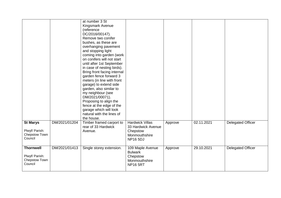| <b>St Marys</b><br>Plwyf/ Parish:<br>Chepstow Town<br>Council  | DM/2021/01204 | at number 3 St<br>Kingsmark Avenue<br>(reference<br>DC/2016/00147).<br>Remove two conifer<br>bushes, as these are<br>overhanging pavement<br>and stopping light<br>coming into garden (work<br>on conifers will not start<br>until after 1st September<br>in case of nesting birds).<br>Bring front facing internal<br>garden fence forward 3<br>meters (in line with front<br>garage) to extend side<br>garden, also similar to<br>my neighbour (see<br>DM/2021/00071).<br>Proposing to align the<br>fence at the edge of the<br>garage which will look<br>natural with the lines of<br>the house.<br>Timber framed carport to<br>rear of 33 Hardwick<br>Avenue. | <b>Hardwick Villas</b><br>33 Hardwick Avenue<br>Chepstow<br>Monmouthshire<br><b>NP16 5DJ</b> | Approve | 02.11.2021 | <b>Delegated Officer</b> |
|----------------------------------------------------------------|---------------|-------------------------------------------------------------------------------------------------------------------------------------------------------------------------------------------------------------------------------------------------------------------------------------------------------------------------------------------------------------------------------------------------------------------------------------------------------------------------------------------------------------------------------------------------------------------------------------------------------------------------------------------------------------------|----------------------------------------------------------------------------------------------|---------|------------|--------------------------|
| <b>Thornwell</b><br>Plwyf/ Parish:<br>Chepstow Town<br>Council | DM/2021/01413 | Single storey extension.                                                                                                                                                                                                                                                                                                                                                                                                                                                                                                                                                                                                                                          | 109 Maple Avenue<br><b>Bulwark</b><br>Chepstow<br>Monmouthshire<br><b>NP16 5RT</b>           | Approve | 29.10.2021 | <b>Delegated Officer</b> |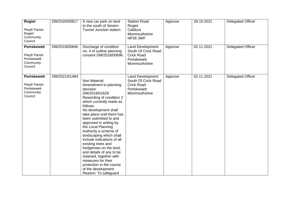| <b>Rogiet</b><br>Plwyf/ Parish:<br>Rogiet<br>Community<br>Council           | DM/2020/00817 | A new car park on land<br>to the south of Severn<br>Tunnel Junction station.                                                                                                                                                                                                                                                                                                                                                                                                                                                                                     | <b>Station Road</b><br>Rogiet<br>Caldicot<br>Monmouthshire<br><b>NP26 3WF</b>                       | Approve | 28.10.2021 | <b>Delegated Officer</b> |
|-----------------------------------------------------------------------------|---------------|------------------------------------------------------------------------------------------------------------------------------------------------------------------------------------------------------------------------------------------------------------------------------------------------------------------------------------------------------------------------------------------------------------------------------------------------------------------------------------------------------------------------------------------------------------------|-----------------------------------------------------------------------------------------------------|---------|------------|--------------------------|
| <b>Portskewett</b><br>Plwyf/ Parish:<br>Portskewett<br>Community<br>Council | DM/2019/00846 | Discharge of condition<br>no. 4 of outline planning<br>consent DM/2018/00696.                                                                                                                                                                                                                                                                                                                                                                                                                                                                                    | Land Development<br>South Of Crick Road<br><b>Crick Road</b><br>Portskewett<br>Monmouthshire        | Approve | 02.11.2021 | Delegated Officer        |
| <b>Portskewett</b><br>Plwyf/ Parish:<br>Portskewett<br>Community<br>Council | DM/2021/01484 | Non Material<br>Amendment to planning<br>decision<br>DM/2019/01629.<br>Rewording of condition 2<br>which currently reads as<br>follows:<br>No development shall<br>take place until there has<br>been submitted to and<br>approved in writing by<br>the Local Planning<br>Authority a scheme of<br>landscaping which shall<br>include indications of all<br>existing trees and<br>hedgerows on the land,<br>and details of any to be<br>retained, together with<br>measures for their<br>protection in the course<br>of the development.<br>Reason: To safeguard | <b>Land Development</b><br>South Of Crick Road<br><b>Crick Road</b><br>Portskewett<br>Monmouthshire | Approve | 02.11.2021 | <b>Delegated Officer</b> |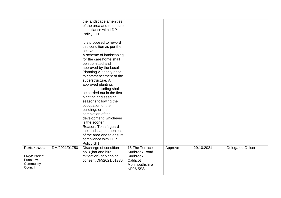|                                                                  |               | the landscape amenities<br>of the area and to ensure<br>compliance with LDP<br>Policy GI1.<br>It is proposed to reword<br>this condition as per the<br>below:<br>A scheme of landscaping<br>for the care home shall<br>be submitted and<br>approved by the Local<br>Planning Authority prior<br>to commencement of the<br>superstructure. All<br>approved planting,<br>seeding or turfing shall<br>be carried out in the first<br>planting and seeding<br>seasons following the<br>occupation of the<br>buildings or the<br>completion of the<br>development, whichever<br>is the sooner.<br>Reason: To safeguard<br>the landscape amenities<br>of the area and to ensure<br>compliance with LDP<br>Policy GI1. |                                                                          |         |            |                          |
|------------------------------------------------------------------|---------------|-----------------------------------------------------------------------------------------------------------------------------------------------------------------------------------------------------------------------------------------------------------------------------------------------------------------------------------------------------------------------------------------------------------------------------------------------------------------------------------------------------------------------------------------------------------------------------------------------------------------------------------------------------------------------------------------------------------------|--------------------------------------------------------------------------|---------|------------|--------------------------|
| <b>Portskewett</b><br>Plwyf/ Parish:<br>Portskewett<br>Community | DM/2021/01750 | Discharge of condition<br>no.3 (bat and bird<br>mitigation) of planning<br>consent DM/2021/01386.                                                                                                                                                                                                                                                                                                                                                                                                                                                                                                                                                                                                               | 16 The Terrace<br>Sudbrook Road<br>Sudbrook<br>Caldicot<br>Monmouthshire | Approve | 29.10.2021 | <b>Delegated Officer</b> |
| Council                                                          |               |                                                                                                                                                                                                                                                                                                                                                                                                                                                                                                                                                                                                                                                                                                                 | <b>NP26 5SS</b>                                                          |         |            |                          |